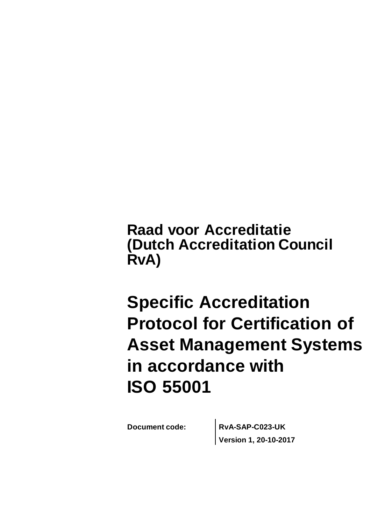**Raad voor Accreditatie (Dutch Accreditation Council RvA)**

# **Specific Accreditation Protocol for Certification of Asset Management Systems in accordance with ISO 55001**

**Document code: RvA-SAP-C023-UK Version 1, 20-10-2017**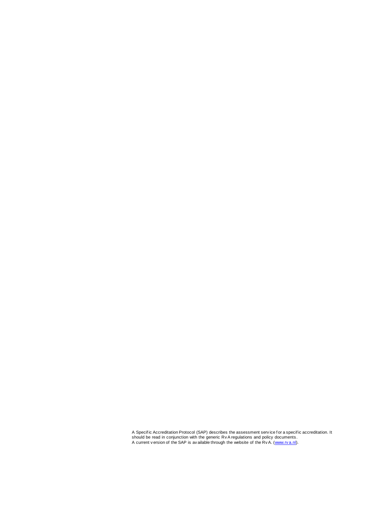A Specif ic Accreditation Protocol (SAP) describes the assessment serv ice f or a specif ic accreditation. It should be read in conjunction with the generic Rv A regulations and policy documents . A current v ersion of the SAP is av ailable through the website of the Rv A. [\(www.rv a.nl\)](http://www.rva.nl/).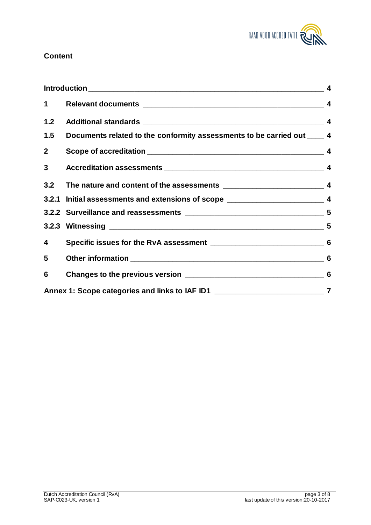

### **Content**

| $\mathbf 1$    |                                                                                     |                |
|----------------|-------------------------------------------------------------------------------------|----------------|
| 1.2            |                                                                                     |                |
| 1.5            | Documents related to the conformity assessments to be carried out ____ 4            |                |
| 2 <sup>7</sup> |                                                                                     |                |
| 3 <sup>1</sup> |                                                                                     |                |
|                | 3.2 The nature and content of the assessments ___________________________________ 4 |                |
|                | 3.2.1 Initial assessments and extensions of scope _______________________________ 4 |                |
|                |                                                                                     |                |
|                |                                                                                     |                |
| 4              |                                                                                     |                |
| 5              |                                                                                     | 6              |
| 6              |                                                                                     |                |
|                | Annex 1: Scope categories and links to IAF ID1 _________________________________    | $\overline{7}$ |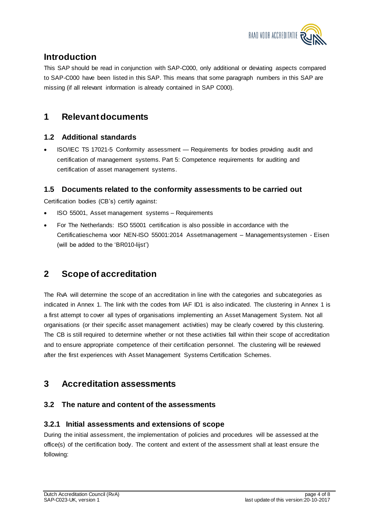

## **Introduction**

This SAP should be read in conjunction with SAP-C000, only additional or deviating aspects compared to SAP-C000 have been listed in this SAP. This means that some paragraph numbers in this SAP are missing (if all relevant information is already contained in SAP C000).

## **1 Relevant documents**

#### **1.2 Additional standards**

 ISO/IEC TS 17021-5 Conformity assessment — Requirements for bodies providing audit and certification of management systems. Part 5: Competence requirements for auditing and certification of asset management systems.

#### **1.5 Documents related to the conformity assessments to be carried out**

Certification bodies (CB's) certify against:

- ISO 55001, Asset management systems Requirements
- For The Netherlands: ISO 55001 certification is also possible in accordance with the Certificatieschema voor NEN-ISO 55001:2014 Assetmanagement – Managementsystemen - Eisen (will be added to the 'BR010-lijst')

## **2 Scope of accreditation**

The RvA will determine the scope of an accreditation in line with the categories and subcategories as indicated in Annex 1. The link with the codes from IAF ID1 is also indicated. The clustering in Annex 1 is a first attempt to cover all types of organisations implementing an Asset Management System. Not all organisations (or their specific asset management activities) may be clearly covered by this clustering. The CB is still required to determine whether or not these activities fall within their scope of accreditation and to ensure appropriate competence of their certification personnel. The clustering will be reviewed after the first experiences with Asset Management Systems Certification Schemes.

## **3 Accreditation assessments**

#### **3.2 The nature and content of the assessments**

#### **3.2.1 Initial assessments and extensions of scope**

During the initial assessment, the implementation of policies and procedures will be assessed at the office(s) of the certification body. The content and extent of the assessment shall at least ensure the following: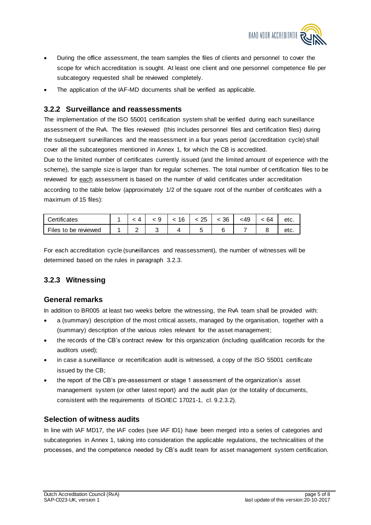

- During the office assessment, the team samples the files of clients and personnel to cover the scope for which accreditation is sought. At least one client and one personnel competence file per subcategory requested shall be reviewed completely.
- The application of the IAF-MD documents shall be verified as applicable.

#### **3.2.2 Surveillance and reassessments**

The implementation of the ISO 55001 certification system shall be verified during each surveillance assessment of the RvA. The files reviewed (this includes personnel files and certification files) during the subsequent surveillances and the reassessment in a four years period (accreditation cycle) shall cover all the subcategories mentioned in Annex 1, for which the CB is accredited.

Due to the limited number of certificates currently issued (and the limited amount of experience with the scheme), the sample size is larger than for regular schemes. The total number of certification files to be reviewed for each assessment is based on the number of valid certificates under accreditation according to the table below (approximately 1/2 of the square root of the number of certificates with a maximum of 15 files):

| Certificates         |  | 6 | つに<br>້ | 36 | :49 | 64 | etc. |
|----------------------|--|---|---------|----|-----|----|------|
| Files to be reviewed |  |   |         |    |     |    | σιυ. |

For each accreditation cycle (surveillances and reassessment), the number of witnesses will be determined based on the rules in paragraph 3.2.3.

#### **3.2.3 Witnessing**

#### **General remarks**

In addition to BR005 at least two weeks before the witnessing, the RvA team shall be provided with:

- a (summary) description of the most critical assets, managed by the organisation, together with a (summary) description of the various roles relevant for the asset management;
- the records of the CB's contract review for this organization (including qualification records for the auditors used);
- in case a surveillance or recertification audit is witnessed, a copy of the ISO 55001 certificate issued by the CB;
- the report of the CB's pre-assessment or stage 1 assessment of the organization's asset management system (or other latest report) and the audit plan (or the totality of documents, consistent with the requirements of ISO/IEC 17021-1, cl. 9.2.3.2).

#### **Selection of witness audits**

In line with IAF MD17, the IAF codes (see IAF ID1) have been merged into a series of categories and subcategories in Annex 1, taking into consideration the applicable regulations, the technicalities of the processes, and the competence needed by CB's audit team for asset management system certification.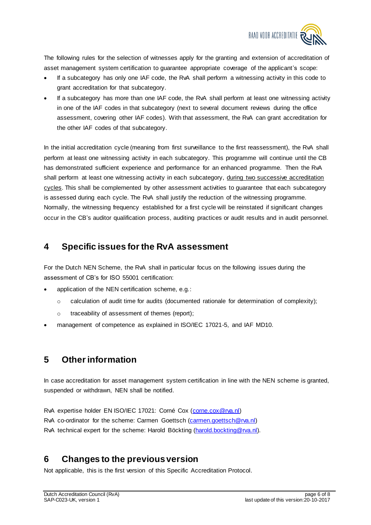

The following rules for the selection of witnesses apply for the granting and extension of accreditation of asset management system certification to guarantee appropriate coverage of the applicant's scope:

- If a subcategory has only one IAF code, the RvA shall perform a witnessing activity in this code to grant accreditation for that subcategory.
- If a subcategory has more than one IAF code, the RvA shall perform at least one witnessing activity in one of the IAF codes in that subcategory (next to several document reviews during the office assessment, covering other IAF codes). With that assessment, the RvA can grant accreditation for the other IAF codes of that subcategory.

In the initial accreditation cycle (meaning from first surveillance to the first reassessment), the RvA shall perform at least one witnessing activity in each subcategory. This programme will continue until the CB has demonstrated sufficient experience and performance for an enhanced programme. Then the RvA shall perform at least one witnessing activity in each subcategory, during two successive accreditation cycles. This shall be complemented by other assessment activities to guarantee that each subcategory is assessed during each cycle. The RvA shall justify the reduction of the witnessing programme. Normally, the witnessing frequency established for a first cycle will be reinstated if significant changes occur in the CB's auditor qualification process, auditing practices or audit results and in audit personnel.

## **4 Specific issues for the RvA assessment**

For the Dutch NEN Scheme, the RvA shall in particular focus on the following issues during the assessment of CB's for ISO 55001 certification:

- application of the NEN certification scheme, e.g.:
	- $\circ$  calculation of audit time for audits (documented rationale for determination of complexity);
	- o traceability of assessment of themes (report);
- management of competence as explained in ISO/IEC 17021-5, and IAF MD10.

## **5 Other information**

In case accreditation for asset management system certification in line with the NEN scheme is granted, suspended or withdrawn, NEN shall be notified.

RvA expertise holder EN ISO/IEC 17021: Corné Cox [\(corne.cox@rva.nl\)](mailto:corne.cox@rva.nl) RvA co-ordinator for the scheme: Carmen Goettsch [\(carmen.goettsch@rva.nl\)](mailto:carmen.goettsch@rva.nl) RvA technical expert for the scheme: Harold Böckting [\(harold.bockting@rva.nl\).](mailto:harold.bockting@rva.nl)

## **6 Changes to the previous version**

Not applicable, this is the first version of this Specific Accreditation Protocol.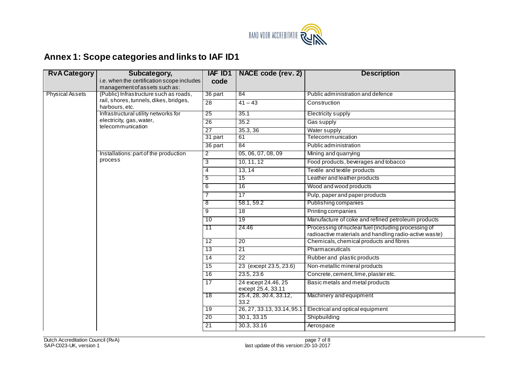

## **Annex 1: Scope categories and links to IAF ID1**

| <b>RvA Category</b>    | Subcategory,                                                                          | IAF ID1         | NACE code (rev. 2)                        | <b>Description</b>                                                                                            |  |  |
|------------------------|---------------------------------------------------------------------------------------|-----------------|-------------------------------------------|---------------------------------------------------------------------------------------------------------------|--|--|
|                        | i.e. when the certification scope includes                                            | code            |                                           |                                                                                                               |  |  |
|                        | management of assets such as:                                                         |                 |                                           |                                                                                                               |  |  |
| <b>Physical Assets</b> | (Public) Infrastructure such as roads,                                                | 36 part         | 84                                        | Public administration and defence                                                                             |  |  |
|                        | rail, shores, tunnels, dikes, bridges,<br>harbours, etc.                              | 28              | $41 - 43$                                 | Construction                                                                                                  |  |  |
|                        | Infrastructural utility networks for<br>electricity, gas, water,<br>telecommunication | 25              | 35.1                                      | <b>Electricity supply</b>                                                                                     |  |  |
|                        |                                                                                       | 26              | 35.2                                      | Gas supply                                                                                                    |  |  |
|                        |                                                                                       | 27              | 35.3, 36                                  | Water supply                                                                                                  |  |  |
|                        |                                                                                       | $31$ part       | 61                                        | Telecommunication                                                                                             |  |  |
|                        |                                                                                       | 36 part         | 84                                        | Public administration                                                                                         |  |  |
|                        | Installations: part of the production<br>process                                      | $\overline{2}$  | 05, 06, 07, 08, 09                        | Mining and quarrying                                                                                          |  |  |
|                        |                                                                                       | ن               | 10, 11, 12                                | Food products, beverages and tobacco                                                                          |  |  |
|                        |                                                                                       | 4               | 13, 14                                    | Textile and textile products                                                                                  |  |  |
|                        |                                                                                       | 5               | 15                                        | Leather and leather products                                                                                  |  |  |
|                        |                                                                                       | 6               | 16                                        | Wood and wood products                                                                                        |  |  |
|                        |                                                                                       | 7               | 17                                        | Pulp, paper and paper products                                                                                |  |  |
|                        |                                                                                       | 8               | 58.1, 59.2                                | Publishing companies                                                                                          |  |  |
|                        |                                                                                       | 9               | 18                                        | Printing companies                                                                                            |  |  |
|                        |                                                                                       | 10              | 19                                        | Manufacture of coke and refined petroleum products                                                            |  |  |
|                        |                                                                                       | $\overline{11}$ | 24.46                                     | Processing of nuclear fuel (including processing of<br>radioactive materials and handling radio-active waste) |  |  |
|                        |                                                                                       | $\overline{12}$ | 20                                        | Chemicals, chemical products and fibres                                                                       |  |  |
|                        |                                                                                       | 13              | 21                                        | Pharmaceuticals                                                                                               |  |  |
|                        |                                                                                       | $\overline{14}$ | $\overline{22}$                           | Rubber and plastic products                                                                                   |  |  |
|                        |                                                                                       | $\overline{15}$ | 23 (except 23.5, 23.6)                    | Non-metallic mineral products                                                                                 |  |  |
|                        |                                                                                       | 16              | 23.5, 23.6                                | Concrete, cement, lime, plaster etc.                                                                          |  |  |
|                        |                                                                                       | 17              | 24 except 24.46, 25<br>except 25.4, 33.11 | Basic metals and metal products                                                                               |  |  |
|                        |                                                                                       | 18              | 25.4, 28, 30.4, 33.12,<br>33.2            | Machinery and equipment                                                                                       |  |  |
|                        |                                                                                       | 19              | 26, 27, 33.13, 33.14, 95.1                | Electrical and optical equipment                                                                              |  |  |
|                        |                                                                                       | 20              | 30.1, 33.15                               | Shipbuilding                                                                                                  |  |  |
|                        |                                                                                       | 21              | 30.3, 33.16                               | Aerospace                                                                                                     |  |  |